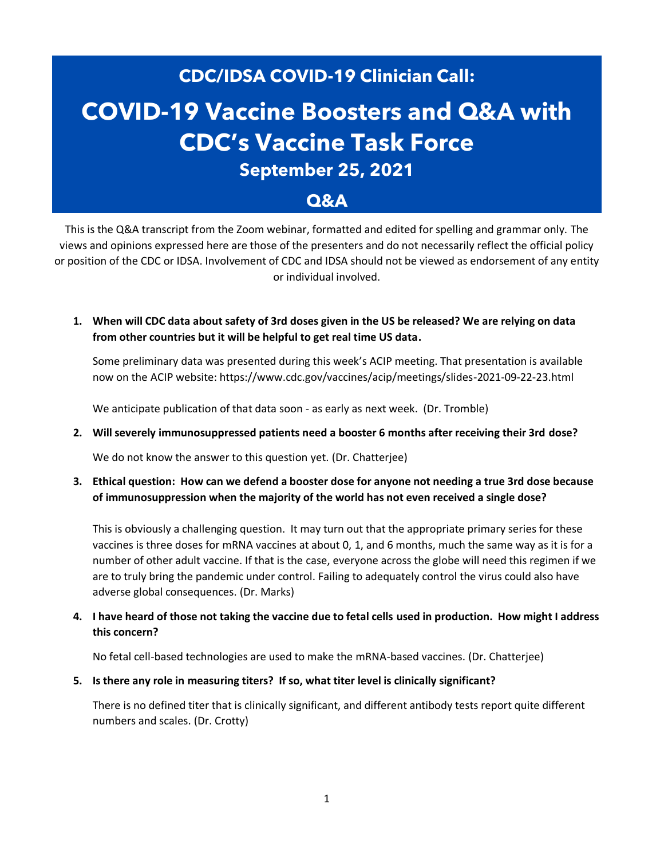# **CDC/IDSA COVID-19 Clinician Call: COVID-19 Vaccine Boosters and Q&A with CDC's Vaccine Task Force September 25, 2021 Q&A**

This is the Q&A transcript from the Zoom webinar, formatted and edited for spelling and grammar only. The views and opinions expressed here are those of the presenters and do not necessarily reflect the official policy or position of the CDC or IDSA. Involvement of CDC and IDSA should not be viewed as endorsement of any entity or individual involved.

**1. When will CDC data about safety of 3rd doses given in the US be released? We are relying on data from other countries but it will be helpful to get real time US data.**

Some preliminary data was presented during this week's ACIP meeting. That presentation is available now on the ACIP website: https://www.cdc.gov/vaccines/acip/meetings/slides-2021-09-22-23.html

We anticipate publication of that data soon - as early as next week. (Dr. Tromble)

**2. Will severely immunosuppressed patients need a booster 6 months after receiving their 3rd dose?**

We do not know the answer to this question yet. (Dr. Chatterjee)

**3. Ethical question: How can we defend a booster dose for anyone not needing a true 3rd dose because of immunosuppression when the majority of the world has not even received a single dose?**

This is obviously a challenging question. It may turn out that the appropriate primary series for these vaccines is three doses for mRNA vaccines at about 0, 1, and 6 months, much the same way as it is for a number of other adult vaccine. If that is the case, everyone across the globe will need this regimen if we are to truly bring the pandemic under control. Failing to adequately control the virus could also have adverse global consequences. (Dr. Marks)

**4. I have heard of those not taking the vaccine due to fetal cells used in production. How might I address this concern?**

No fetal cell-based technologies are used to make the mRNA-based vaccines. (Dr. Chatterjee)

**5. Is there any role in measuring titers? If so, what titer level is clinically significant?**

There is no defined titer that is clinically significant, and different antibody tests report quite different numbers and scales. (Dr. Crotty)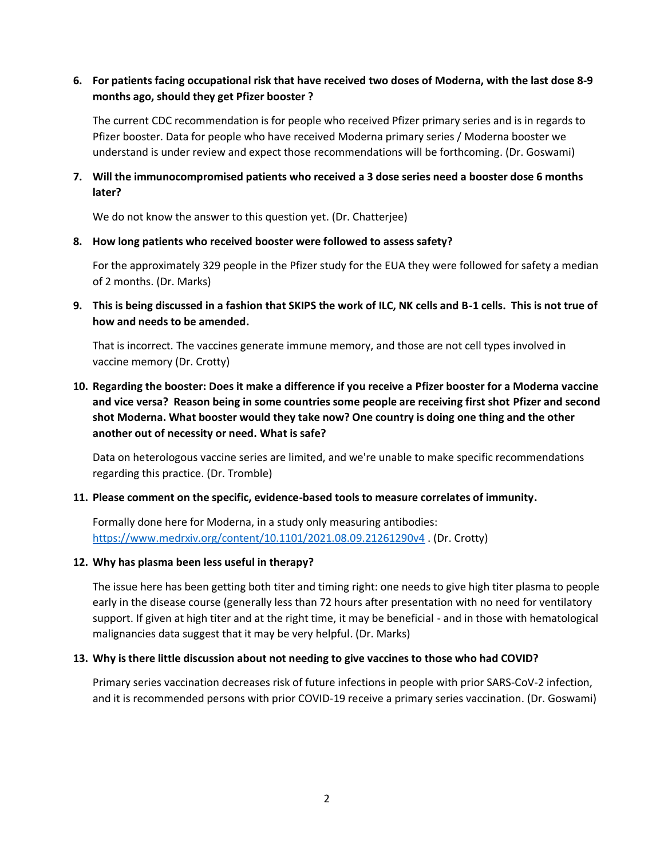## **6. For patients facing occupational risk that have received two doses of Moderna, with the last dose 8-9 months ago, should they get Pfizer booster ?**

The current CDC recommendation is for people who received Pfizer primary series and is in regards to Pfizer booster. Data for people who have received Moderna primary series / Moderna booster we understand is under review and expect those recommendations will be forthcoming. (Dr. Goswami)

## **7. Will the immunocompromised patients who received a 3 dose series need a booster dose 6 months later?**

We do not know the answer to this question yet. (Dr. Chatterjee)

#### **8. How long patients who received booster were followed to assess safety?**

For the approximately 329 people in the Pfizer study for the EUA they were followed for safety a median of 2 months. (Dr. Marks)

**9. This is being discussed in a fashion that SKIPS the work of ILC, NK cells and B-1 cells. This is not true of how and needs to be amended.**

That is incorrect. The vaccines generate immune memory, and those are not cell types involved in vaccine memory (Dr. Crotty)

# **10. Regarding the booster: Does it make a difference if you receive a Pfizer booster for a Moderna vaccine and vice versa? Reason being in some countries some people are receiving first shot Pfizer and second shot Moderna. What booster would they take now? One country is doing one thing and the other another out of necessity or need. What is safe?**

Data on heterologous vaccine series are limited, and we're unable to make specific recommendations regarding this practice. (Dr. Tromble)

## **11. Please comment on the specific, evidence-based tools to measure correlates of immunity.**

Formally done here for Moderna, in a study only measuring antibodies: <https://www.medrxiv.org/content/10.1101/2021.08.09.21261290v4> . (Dr. Crotty)

#### **12. Why has plasma been less useful in therapy?**

The issue here has been getting both titer and timing right: one needs to give high titer plasma to people early in the disease course (generally less than 72 hours after presentation with no need for ventilatory support. If given at high titer and at the right time, it may be beneficial - and in those with hematological malignancies data suggest that it may be very helpful. (Dr. Marks)

#### **13. Why is there little discussion about not needing to give vaccines to those who had COVID?**

Primary series vaccination decreases risk of future infections in people with prior SARS-CoV-2 infection, and it is recommended persons with prior COVID-19 receive a primary series vaccination. (Dr. Goswami)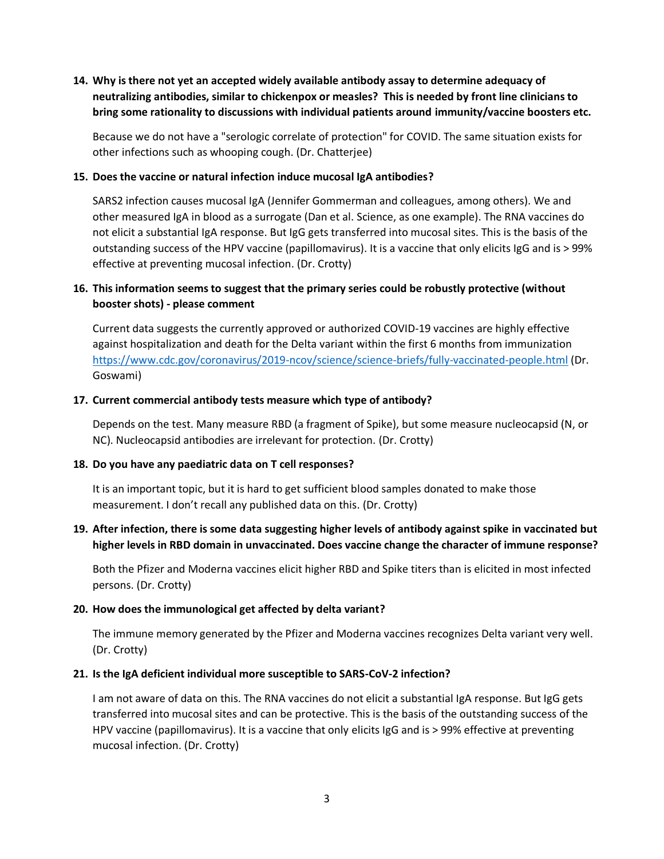# **14. Why is there not yet an accepted widely available antibody assay to determine adequacy of neutralizing antibodies, similar to chickenpox or measles? This is needed by front line clinicians to bring some rationality to discussions with individual patients around immunity/vaccine boosters etc.**

Because we do not have a "serologic correlate of protection" for COVID. The same situation exists for other infections such as whooping cough. (Dr. Chatterjee)

#### **15. Does the vaccine or natural infection induce mucosal IgA antibodies?**

SARS2 infection causes mucosal IgA (Jennifer Gommerman and colleagues, among others). We and other measured IgA in blood as a surrogate (Dan et al. Science, as one example). The RNA vaccines do not elicit a substantial IgA response. But IgG gets transferred into mucosal sites. This is the basis of the outstanding success of the HPV vaccine (papillomavirus). It is a vaccine that only elicits IgG and is > 99% effective at preventing mucosal infection. (Dr. Crotty)

## **16. This information seems to suggest that the primary series could be robustly protective (without booster shots) - please comment**

Current data suggests the currently approved or authorized COVID-19 vaccines are highly effective against hospitalization and death for the Delta variant within the first 6 months from immunization <https://www.cdc.gov/coronavirus/2019-ncov/science/science-briefs/fully-vaccinated-people.html> (Dr. Goswami)

#### **17. Current commercial antibody tests measure which type of antibody?**

Depends on the test. Many measure RBD (a fragment of Spike), but some measure nucleocapsid (N, or NC). Nucleocapsid antibodies are irrelevant for protection. (Dr. Crotty)

#### **18. Do you have any paediatric data on T cell responses?**

It is an important topic, but it is hard to get sufficient blood samples donated to make those measurement. I don't recall any published data on this. (Dr. Crotty)

## **19. After infection, there is some data suggesting higher levels of antibody against spike in vaccinated but higher levels in RBD domain in unvaccinated. Does vaccine change the character of immune response?**

Both the Pfizer and Moderna vaccines elicit higher RBD and Spike titers than is elicited in most infected persons. (Dr. Crotty)

#### **20. How does the immunological get affected by delta variant?**

The immune memory generated by the Pfizer and Moderna vaccines recognizes Delta variant very well. (Dr. Crotty)

#### **21. Is the IgA deficient individual more susceptible to SARS-CoV-2 infection?**

I am not aware of data on this. The RNA vaccines do not elicit a substantial IgA response. But IgG gets transferred into mucosal sites and can be protective. This is the basis of the outstanding success of the HPV vaccine (papillomavirus). It is a vaccine that only elicits IgG and is > 99% effective at preventing mucosal infection. (Dr. Crotty)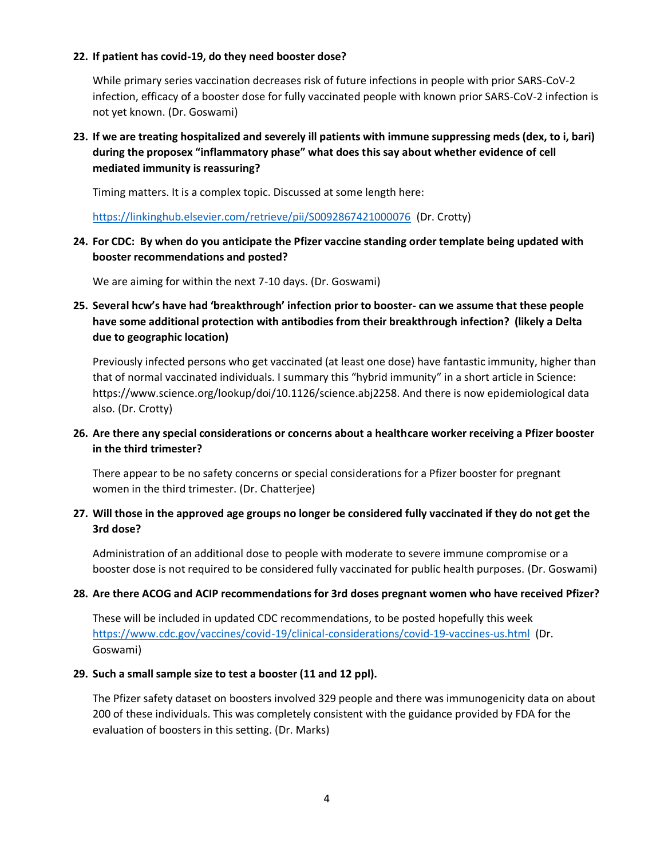#### **22. If patient has covid-19, do they need booster dose?**

While primary series vaccination decreases risk of future infections in people with prior SARS-CoV-2 infection, efficacy of a booster dose for fully vaccinated people with known prior SARS-CoV-2 infection is not yet known. (Dr. Goswami)

# **23. If we are treating hospitalized and severely ill patients with immune suppressing meds (dex, to i, bari) during the proposex "inflammatory phase" what does this say about whether evidence of cell mediated immunity is reassuring?**

Timing matters. It is a complex topic. Discussed at some length here:

<https://linkinghub.elsevier.com/retrieve/pii/S0092867421000076> (Dr. Crotty)

## **24. For CDC: By when do you anticipate the Pfizer vaccine standing order template being updated with booster recommendations and posted?**

We are aiming for within the next 7-10 days. (Dr. Goswami)

# **25. Several hcw's have had 'breakthrough' infection prior to booster- can we assume that these people have some additional protection with antibodies from their breakthrough infection? (likely a Delta due to geographic location)**

Previously infected persons who get vaccinated (at least one dose) have fantastic immunity, higher than that of normal vaccinated individuals. I summary this "hybrid immunity" in a short article in Science: https://www.science.org/lookup/doi/10.1126/science.abj2258. And there is now epidemiological data also. (Dr. Crotty)

# **26. Are there any special considerations or concerns about a healthcare worker receiving a Pfizer booster in the third trimester?**

There appear to be no safety concerns or special considerations for a Pfizer booster for pregnant women in the third trimester. (Dr. Chatterjee)

# **27. Will those in the approved age groups no longer be considered fully vaccinated if they do not get the 3rd dose?**

Administration of an additional dose to people with moderate to severe immune compromise or a booster dose is not required to be considered fully vaccinated for public health purposes. (Dr. Goswami)

## **28. Are there ACOG and ACIP recommendations for 3rd doses pregnant women who have received Pfizer?**

These will be included in updated CDC recommendations, to be posted hopefully this week <https://www.cdc.gov/vaccines/covid-19/clinical-considerations/covid-19-vaccines-us.html> (Dr. Goswami)

## **29. Such a small sample size to test a booster (11 and 12 ppl).**

The Pfizer safety dataset on boosters involved 329 people and there was immunogenicity data on about 200 of these individuals. This was completely consistent with the guidance provided by FDA for the evaluation of boosters in this setting. (Dr. Marks)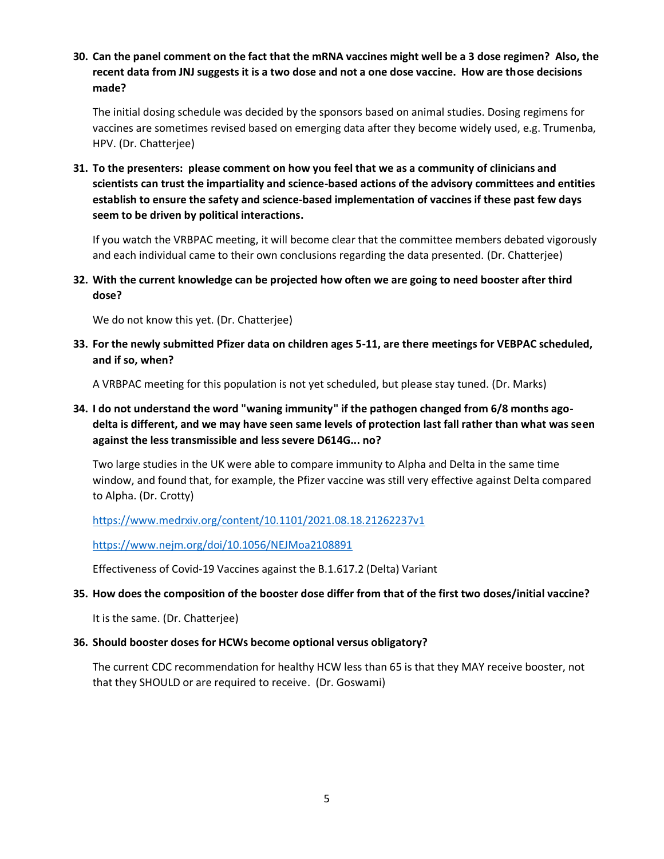**30. Can the panel comment on the fact that the mRNA vaccines might well be a 3 dose regimen? Also, the recent data from JNJ suggests it is a two dose and not a one dose vaccine. How are those decisions made?**

The initial dosing schedule was decided by the sponsors based on animal studies. Dosing regimens for vaccines are sometimes revised based on emerging data after they become widely used, e.g. Trumenba, HPV. (Dr. Chatterjee)

**31. To the presenters: please comment on how you feel that we as a community of clinicians and scientists can trust the impartiality and science-based actions of the advisory committees and entities establish to ensure the safety and science-based implementation of vaccines if these past few days seem to be driven by political interactions.**

If you watch the VRBPAC meeting, it will become clear that the committee members debated vigorously and each individual came to their own conclusions regarding the data presented. (Dr. Chatterjee)

**32. With the current knowledge can be projected how often we are going to need booster after third dose?**

We do not know this yet. (Dr. Chatterjee)

**33. For the newly submitted Pfizer data on children ages 5-11, are there meetings for VEBPAC scheduled, and if so, when?**

A VRBPAC meeting for this population is not yet scheduled, but please stay tuned. (Dr. Marks)

**34. I do not understand the word "waning immunity" if the pathogen changed from 6/8 months agodelta is different, and we may have seen same levels of protection last fall rather than what was seen against the less transmissible and less severe D614G... no?**

Two large studies in the UK were able to compare immunity to Alpha and Delta in the same time window, and found that, for example, the Pfizer vaccine was still very effective against Delta compared to Alpha. (Dr. Crotty)

<https://www.medrxiv.org/content/10.1101/2021.08.18.21262237v1>

<https://www.nejm.org/doi/10.1056/NEJMoa2108891>

Effectiveness of Covid-19 Vaccines against the B.1.617.2 (Delta) Variant

## **35. How does the composition of the booster dose differ from that of the first two doses/initial vaccine?**

It is the same. (Dr. Chatterjee)

## **36. Should booster doses for HCWs become optional versus obligatory?**

The current CDC recommendation for healthy HCW less than 65 is that they MAY receive booster, not that they SHOULD or are required to receive. (Dr. Goswami)